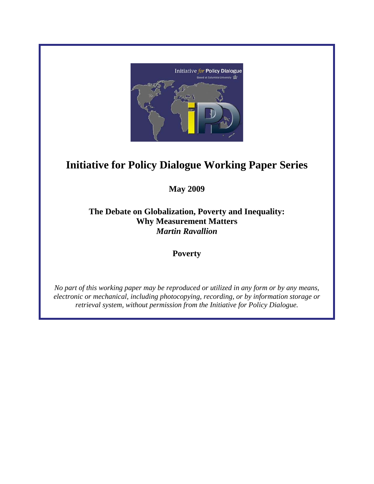

# **Initiative for Policy Dialogue Working Paper Series**

**May 2009** 

**The Debate on Globalization, Poverty and Inequality: Why Measurement Matters**  *Martin Ravallion* 

**Poverty** 

*No part of this working paper may be reproduced or utilized in any form or by any means, electronic or mechanical, including photocopying, recording, or by information storage or retrieval system, without permission from the Initiative for Policy Dialogue.*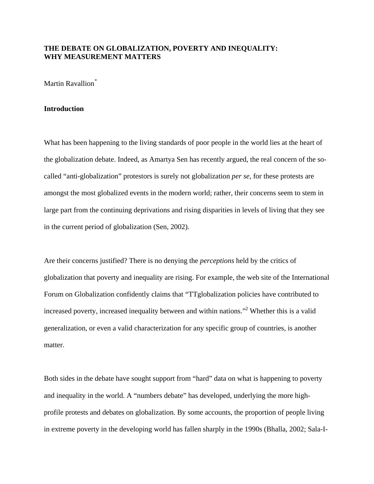## **THE DEBATE ON GLOBALIZATION, POVERTY AND INEQUALITY: WHY MEASUREMENT MATTERS**

Martin Ravallion<sup>[\\*](#page-23-0)</sup>

#### **Introduction**

What has been happening to the living standards of poor people in the world lies at the heart of the globalization debate. Indeed, as Amartya Sen has recently argued, the real concern of the socalled "anti-globalization" protestors is surely not globalization *per se*, for these protests are amongst the most globalized events in the modern world; rather, their concerns seem to stem in large part from the continuing deprivations and rising disparities in levels of living that they see in the current period of globalization (Sen, 2002).

Are their concerns justified? There is no denying the *perceptions* held by the critics of globalization that poverty and inequality are rising. For example, the web site of the International Forum on Globalization confidently claims that "TTglobalization policies have contributed to increased poverty, increased inequality between and within nations."<sup>2</sup> Whether this is a valid generalization, or even a valid characterization for any specific group of countries, is another matter.

Both sides in the debate have sought support from "hard" data on what is happening to poverty and inequality in the world. A "numbers debate" has developed, underlying the more highprofile protests and debates on globalization. By some accounts, the proportion of people living in extreme poverty in the developing world has fallen sharply in the 1990s (Bhalla, 2002; Sala-I-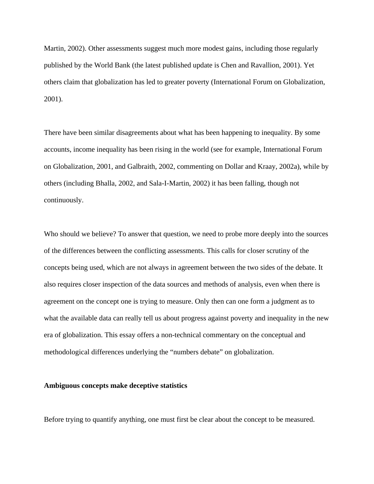Martin, 2002). Other assessments suggest much more modest gains, including those regularly published by the World Bank (the latest published update is Chen and Ravallion, 2001). Yet others claim that globalization has led to greater poverty (International Forum on Globalization, 2001).

There have been similar disagreements about what has been happening to inequality. By some accounts, income inequality has been rising in the world (see for example, International Forum on Globalization, 2001, and Galbraith, 2002, commenting on Dollar and Kraay, 2002a), while by others (including Bhalla, 2002, and Sala-I-Martin, 2002) it has been falling, though not continuously.

Who should we believe? To answer that question, we need to probe more deeply into the sources of the differences between the conflicting assessments. This calls for closer scrutiny of the concepts being used, which are not always in agreement between the two sides of the debate. It also requires closer inspection of the data sources and methods of analysis, even when there is agreement on the concept one is trying to measure. Only then can one form a judgment as to what the available data can really tell us about progress against poverty and inequality in the new era of globalization. This essay offers a non-technical commentary on the conceptual and methodological differences underlying the "numbers debate" on globalization.

#### **Ambiguous concepts make deceptive statistics**

Before trying to quantify anything, one must first be clear about the concept to be measured.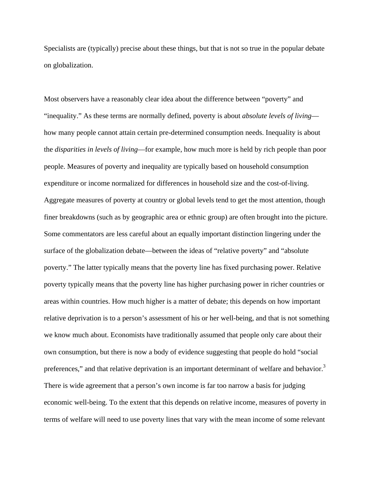Specialists are (typically) precise about these things, but that is not so true in the popular debate on globalization.

Most observers have a reasonably clear idea about the difference between "poverty" and "inequality." As these terms are normally defined, poverty is about *absolute levels of living* how many people cannot attain certain pre-determined consumption needs. Inequality is about the *disparities in levels of living*—for example, how much more is held by rich people than poor people. Measures of poverty and inequality are typically based on household consumption expenditure or income normalized for differences in household size and the cost-of-living. Aggregate measures of poverty at country or global levels tend to get the most attention, though finer breakdowns (such as by geographic area or ethnic group) are often brought into the picture. Some commentators are less careful about an equally important distinction lingering under the surface of the globalization debate—between the ideas of "relative poverty" and "absolute poverty." The latter typically means that the poverty line has fixed purchasing power. Relative poverty typically means that the poverty line has higher purchasing power in richer countries or areas within countries. How much higher is a matter of debate; this depends on how important relative deprivation is to a person's assessment of his or her well-being, and that is not something we know much about. Economists have traditionally assumed that people only care about their own consumption, but there is now a body of evidence suggesting that people do hold "social preferences," and that relative deprivation is an important determinant of welfare and behavior.<sup>3</sup> There is wide agreement that a person's own income is far too narrow a basis for judging economic well-being. To the extent that this depends on relative income, measures of poverty in terms of welfare will need to use poverty lines that vary with the mean income of some relevant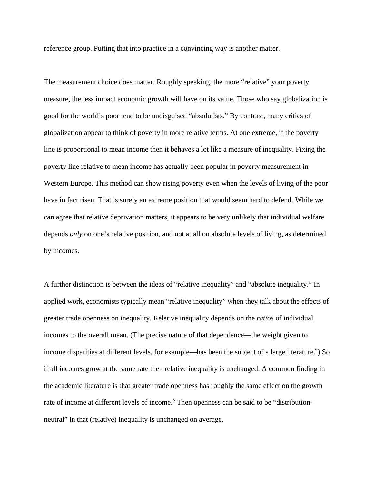reference group. Putting that into practice in a convincing way is another matter.

The measurement choice does matter. Roughly speaking, the more "relative" your poverty measure, the less impact economic growth will have on its value. Those who say globalization is good for the world's poor tend to be undisguised "absolutists." By contrast, many critics of globalization appear to think of poverty in more relative terms. At one extreme, if the poverty line is proportional to mean income then it behaves a lot like a measure of inequality. Fixing the poverty line relative to mean income has actually been popular in poverty measurement in Western Europe. This method can show rising poverty even when the levels of living of the poor have in fact risen. That is surely an extreme position that would seem hard to defend. While we can agree that relative deprivation matters, it appears to be very unlikely that individual welfare depends *only* on one's relative position, and not at all on absolute levels of living, as determined by incomes.

A further distinction is between the ideas of "relative inequality" and "absolute inequality." In applied work, economists typically mean "relative inequality" when they talk about the effects of greater trade openness on inequality. Relative inequality depends on the *ratios* of individual incomes to the overall mean. (The precise nature of that dependence—the weight given to income disparities at different levels, for example—has been the subject of a large literature.<sup>4</sup>) So if all incomes grow at the same rate then relative inequality is unchanged. A common finding in the academic literature is that greater trade openness has roughly the same effect on the growth rate of income at different levels of income.<sup>5</sup> Then openness can be said to be "distributionneutral" in that (relative) inequality is unchanged on average.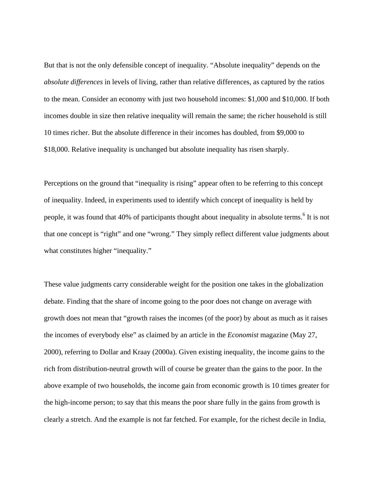But that is not the only defensible concept of inequality. "Absolute inequality" depends on the *absolute differences* in levels of living, rather than relative differences, as captured by the ratios to the mean. Consider an economy with just two household incomes: \$1,000 and \$10,000. If both incomes double in size then relative inequality will remain the same; the richer household is still 10 times richer. But the absolute difference in their incomes has doubled, from \$9,000 to \$18,000. Relative inequality is unchanged but absolute inequality has risen sharply.

Perceptions on the ground that "inequality is rising" appear often to be referring to this concept of inequality. Indeed, in experiments used to identify which concept of inequality is held by people, it was found that 40% of participants thought about inequality in absolute terms.<sup>6</sup> It is not that one concept is "right" and one "wrong." They simply reflect different value judgments about what constitutes higher "inequality."

These value judgments carry considerable weight for the position one takes in the globalization debate. Finding that the share of income going to the poor does not change on average with growth does not mean that "growth raises the incomes (of the poor) by about as much as it raises the incomes of everybody else" as claimed by an article in the *Economist* magazine (May 27, 2000), referring to Dollar and Kraay (2000a). Given existing inequality, the income gains to the rich from distribution-neutral growth will of course be greater than the gains to the poor. In the above example of two households, the income gain from economic growth is 10 times greater for the high-income person; to say that this means the poor share fully in the gains from growth is clearly a stretch. And the example is not far fetched. For example, for the richest decile in India,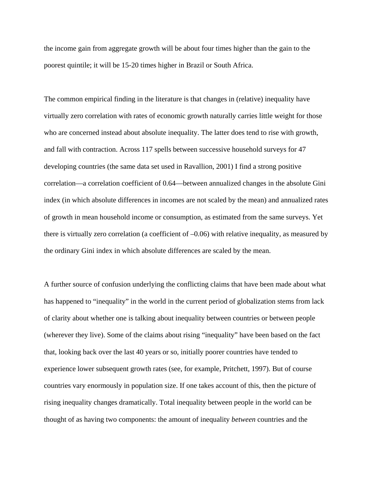the income gain from aggregate growth will be about four times higher than the gain to the poorest quintile; it will be 15-20 times higher in Brazil or South Africa.

The common empirical finding in the literature is that changes in (relative) inequality have virtually zero correlation with rates of economic growth naturally carries little weight for those who are concerned instead about absolute inequality. The latter does tend to rise with growth, and fall with contraction. Across 117 spells between successive household surveys for 47 developing countries (the same data set used in Ravallion, 2001) I find a strong positive correlation—a correlation coefficient of 0.64—between annualized changes in the absolute Gini index (in which absolute differences in incomes are not scaled by the mean) and annualized rates of growth in mean household income or consumption, as estimated from the same surveys. Yet there is virtually zero correlation (a coefficient of  $-0.06$ ) with relative inequality, as measured by the ordinary Gini index in which absolute differences are scaled by the mean.

A further source of confusion underlying the conflicting claims that have been made about what has happened to "inequality" in the world in the current period of globalization stems from lack of clarity about whether one is talking about inequality between countries or between people (wherever they live). Some of the claims about rising "inequality" have been based on the fact that, looking back over the last 40 years or so, initially poorer countries have tended to experience lower subsequent growth rates (see, for example, Pritchett, 1997). But of course countries vary enormously in population size. If one takes account of this, then the picture of rising inequality changes dramatically. Total inequality between people in the world can be thought of as having two components: the amount of inequality *between* countries and the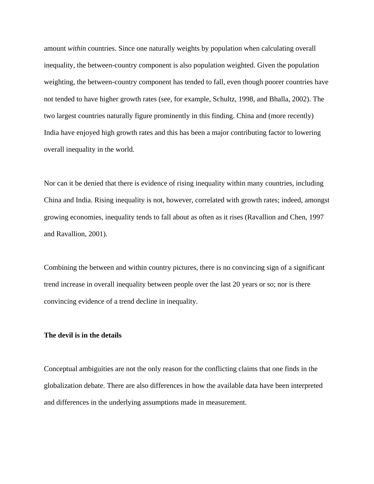amount *within* countries. Since one naturally weights by population when calculating overall inequality, the between-country component is also population weighted. Given the population weighting, the between-country component has tended to fall, even though poorer countries have not tended to have higher growth rates (see, for example, Schultz, 1998, and Bhalla, 2002). The two largest countries naturally figure prominently in this finding. China and (more recently) India have enjoyed high growth rates and this has been a major contributing factor to lowering overall inequality in the world.

Nor can it be denied that there is evidence of rising inequality within many countries, including China and India. Rising inequality is not, however, correlated with growth rates; indeed, amongst growing economies, inequality tends to fall about as often as it rises (Ravallion and Chen, 1997 and Ravallion, 2001).

Combining the between and within country pictures, there is no convincing sign of a significant trend increase in overall inequality between people over the last 20 years or so; nor is there convincing evidence of a trend decline in inequality.

#### **The devil is in the details**

Conceptual ambiguities are not the only reason for the conflicting claims that one finds in the globalization debate. There are also differences in how the available data have been interpreted and differences in the underlying assumptions made in measurement.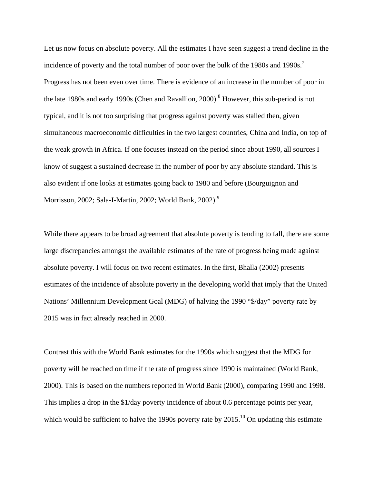Let us now focus on absolute poverty. All the estimates I have seen suggest a trend decline in the incidence of poverty and the total number of poor over the bulk of the 1980s and 1990s.<sup>7</sup> Progress has not been even over time. There is evidence of an increase in the number of poor in the late 1980s and early 1990s (Chen and Ravallion, 2000).<sup>8</sup> However, this sub-period is not typical, and it is not too surprising that progress against poverty was stalled then, given simultaneous macroeconomic difficulties in the two largest countries, China and India, on top of the weak growth in Africa. If one focuses instead on the period since about 1990, all sources I know of suggest a sustained decrease in the number of poor by any absolute standard. This is also evident if one looks at estimates going back to 1980 and before (Bourguignon and Morrisson, 2002; Sala-I-Martin, 2002; World Bank, 2002).<sup>9</sup>

While there appears to be broad agreement that absolute poverty is tending to fall, there are some large discrepancies amongst the available estimates of the rate of progress being made against absolute poverty. I will focus on two recent estimates. In the first, Bhalla (2002) presents estimates of the incidence of absolute poverty in the developing world that imply that the United Nations' Millennium Development Goal (MDG) of halving the 1990 "\$/day" poverty rate by 2015 was in fact already reached in 2000.

Contrast this with the World Bank estimates for the 1990s which suggest that the MDG for poverty will be reached on time if the rate of progress since 1990 is maintained (World Bank, 2000). This is based on the numbers reported in World Bank (2000), comparing 1990 and 1998. This implies a drop in the \$1/day poverty incidence of about 0.6 percentage points per year, which would be sufficient to halve the 1990s poverty rate by  $2015<sup>10</sup>$  On updating this estimate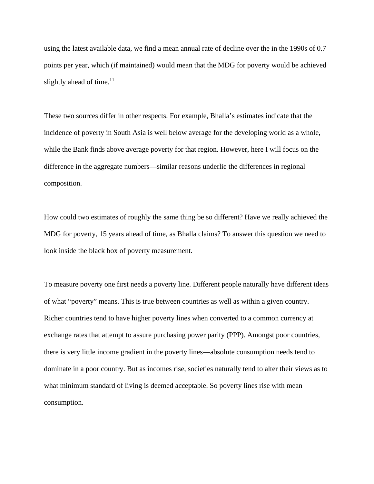using the latest available data, we find a mean annual rate of decline over the in the 1990s of 0.7 points per year, which (if maintained) would mean that the MDG for poverty would be achieved slightly ahead of time. $11$ 

These two sources differ in other respects. For example, Bhalla's estimates indicate that the incidence of poverty in South Asia is well below average for the developing world as a whole, while the Bank finds above average poverty for that region. However, here I will focus on the difference in the aggregate numbers—similar reasons underlie the differences in regional composition.

How could two estimates of roughly the same thing be so different? Have we really achieved the MDG for poverty, 15 years ahead of time, as Bhalla claims? To answer this question we need to look inside the black box of poverty measurement.

To measure poverty one first needs a poverty line. Different people naturally have different ideas of what "poverty" means. This is true between countries as well as within a given country. Richer countries tend to have higher poverty lines when converted to a common currency at exchange rates that attempt to assure purchasing power parity (PPP). Amongst poor countries, there is very little income gradient in the poverty lines—absolute consumption needs tend to dominate in a poor country. But as incomes rise, societies naturally tend to alter their views as to what minimum standard of living is deemed acceptable. So poverty lines rise with mean consumption.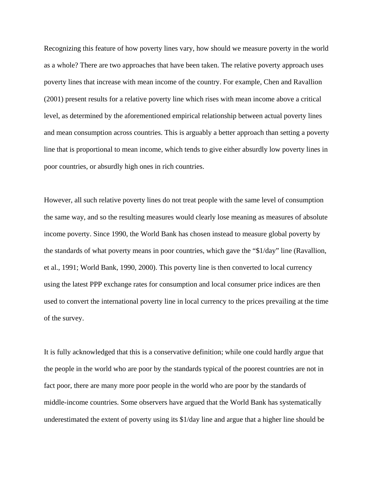Recognizing this feature of how poverty lines vary, how should we measure poverty in the world as a whole? There are two approaches that have been taken. The relative poverty approach uses poverty lines that increase with mean income of the country. For example, Chen and Ravallion (2001) present results for a relative poverty line which rises with mean income above a critical level, as determined by the aforementioned empirical relationship between actual poverty lines and mean consumption across countries. This is arguably a better approach than setting a poverty line that is proportional to mean income, which tends to give either absurdly low poverty lines in poor countries, or absurdly high ones in rich countries.

However, all such relative poverty lines do not treat people with the same level of consumption the same way, and so the resulting measures would clearly lose meaning as measures of absolute income poverty. Since 1990, the World Bank has chosen instead to measure global poverty by the standards of what poverty means in poor countries, which gave the "\$1/day" line (Ravallion, et al., 1991; World Bank, 1990, 2000). This poverty line is then converted to local currency using the latest PPP exchange rates for consumption and local consumer price indices are then used to convert the international poverty line in local currency to the prices prevailing at the time of the survey.

It is fully acknowledged that this is a conservative definition; while one could hardly argue that the people in the world who are poor by the standards typical of the poorest countries are not in fact poor, there are many more poor people in the world who are poor by the standards of middle-income countries. Some observers have argued that the World Bank has systematically underestimated the extent of poverty using its \$1/day line and argue that a higher line should be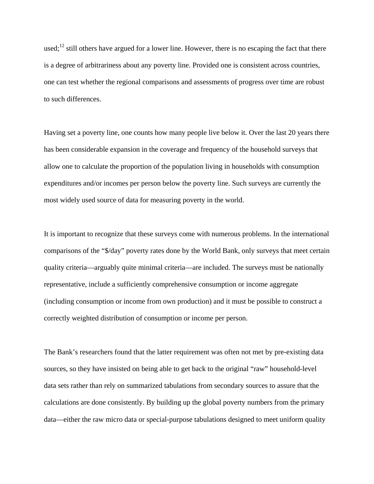used;<sup>12</sup> still others have argued for a lower line. However, there is no escaping the fact that there is a degree of arbitrariness about any poverty line. Provided one is consistent across countries, one can test whether the regional comparisons and assessments of progress over time are robust to such differences.

Having set a poverty line, one counts how many people live below it. Over the last 20 years there has been considerable expansion in the coverage and frequency of the household surveys that allow one to calculate the proportion of the population living in households with consumption expenditures and/or incomes per person below the poverty line. Such surveys are currently the most widely used source of data for measuring poverty in the world.

It is important to recognize that these surveys come with numerous problems. In the international comparisons of the "\$/day" poverty rates done by the World Bank, only surveys that meet certain quality criteria—arguably quite minimal criteria—are included. The surveys must be nationally representative, include a sufficiently comprehensive consumption or income aggregate (including consumption or income from own production) and it must be possible to construct a correctly weighted distribution of consumption or income per person.

The Bank's researchers found that the latter requirement was often not met by pre-existing data sources, so they have insisted on being able to get back to the original "raw" household-level data sets rather than rely on summarized tabulations from secondary sources to assure that the calculations are done consistently. By building up the global poverty numbers from the primary data—either the raw micro data or special-purpose tabulations designed to meet uniform quality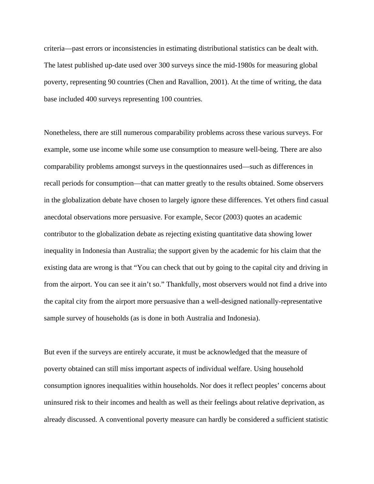criteria—past errors or inconsistencies in estimating distributional statistics can be dealt with. The latest published up-date used over 300 surveys since the mid-1980s for measuring global poverty, representing 90 countries (Chen and Ravallion, 2001). At the time of writing, the data base included 400 surveys representing 100 countries.

Nonetheless, there are still numerous comparability problems across these various surveys. For example, some use income while some use consumption to measure well-being. There are also comparability problems amongst surveys in the questionnaires used—such as differences in recall periods for consumption—that can matter greatly to the results obtained. Some observers in the globalization debate have chosen to largely ignore these differences. Yet others find casual anecdotal observations more persuasive. For example, Secor (2003) quotes an academic contributor to the globalization debate as rejecting existing quantitative data showing lower inequality in Indonesia than Australia; the support given by the academic for his claim that the existing data are wrong is that "You can check that out by going to the capital city and driving in from the airport. You can see it ain't so." Thankfully, most observers would not find a drive into the capital city from the airport more persuasive than a well-designed nationally-representative sample survey of households (as is done in both Australia and Indonesia).

But even if the surveys are entirely accurate, it must be acknowledged that the measure of poverty obtained can still miss important aspects of individual welfare. Using household consumption ignores inequalities within households. Nor does it reflect peoples' concerns about uninsured risk to their incomes and health as well as their feelings about relative deprivation, as already discussed. A conventional poverty measure can hardly be considered a sufficient statistic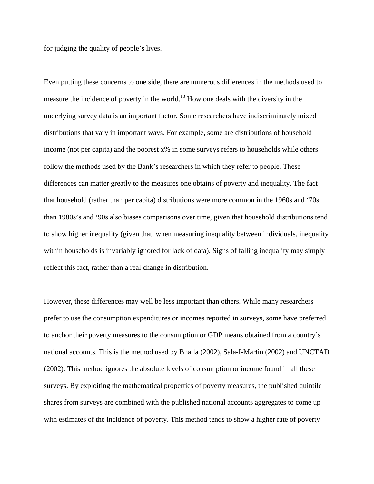for judging the quality of people's lives.

Even putting these concerns to one side, there are numerous differences in the methods used to measure the incidence of poverty in the world.13 How one deals with the diversity in the underlying survey data is an important factor. Some researchers have indiscriminately mixed distributions that vary in important ways. For example, some are distributions of household income (not per capita) and the poorest x% in some surveys refers to households while others follow the methods used by the Bank's researchers in which they refer to people. These differences can matter greatly to the measures one obtains of poverty and inequality. The fact that household (rather than per capita) distributions were more common in the 1960s and '70s than 1980s's and '90s also biases comparisons over time, given that household distributions tend to show higher inequality (given that, when measuring inequality between individuals, inequality within households is invariably ignored for lack of data). Signs of falling inequality may simply reflect this fact, rather than a real change in distribution.

However, these differences may well be less important than others. While many researchers prefer to use the consumption expenditures or incomes reported in surveys, some have preferred to anchor their poverty measures to the consumption or GDP means obtained from a country's national accounts. This is the method used by Bhalla (2002), Sala-I-Martin (2002) and UNCTAD (2002). This method ignores the absolute levels of consumption or income found in all these surveys. By exploiting the mathematical properties of poverty measures, the published quintile shares from surveys are combined with the published national accounts aggregates to come up with estimates of the incidence of poverty. This method tends to show a higher rate of poverty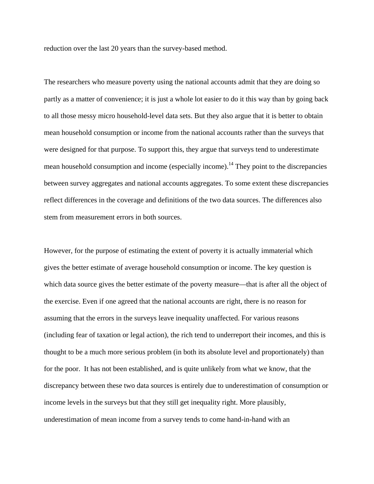reduction over the last 20 years than the survey-based method.

The researchers who measure poverty using the national accounts admit that they are doing so partly as a matter of convenience; it is just a whole lot easier to do it this way than by going back to all those messy micro household-level data sets. But they also argue that it is better to obtain mean household consumption or income from the national accounts rather than the surveys that were designed for that purpose. To support this, they argue that surveys tend to underestimate mean household consumption and income (especially income).<sup>14</sup> They point to the discrepancies between survey aggregates and national accounts aggregates. To some extent these discrepancies reflect differences in the coverage and definitions of the two data sources. The differences also stem from measurement errors in both sources.

However, for the purpose of estimating the extent of poverty it is actually immaterial which gives the better estimate of average household consumption or income. The key question is which data source gives the better estimate of the poverty measure—that is after all the object of the exercise. Even if one agreed that the national accounts are right, there is no reason for assuming that the errors in the surveys leave inequality unaffected. For various reasons (including fear of taxation or legal action), the rich tend to underreport their incomes, and this is thought to be a much more serious problem (in both its absolute level and proportionately) than for the poor. It has not been established, and is quite unlikely from what we know, that the discrepancy between these two data sources is entirely due to underestimation of consumption or income levels in the surveys but that they still get inequality right. More plausibly, underestimation of mean income from a survey tends to come hand-in-hand with an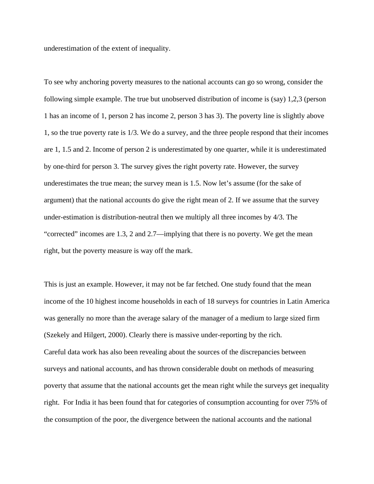underestimation of the extent of inequality.

To see why anchoring poverty measures to the national accounts can go so wrong, consider the following simple example. The true but unobserved distribution of income is (say) 1,2,3 (person 1 has an income of 1, person 2 has income 2, person 3 has 3). The poverty line is slightly above 1, so the true poverty rate is 1/3. We do a survey, and the three people respond that their incomes are 1, 1.5 and 2. Income of person 2 is underestimated by one quarter, while it is underestimated by one-third for person 3. The survey gives the right poverty rate. However, the survey underestimates the true mean; the survey mean is 1.5. Now let's assume (for the sake of argument) that the national accounts do give the right mean of 2. If we assume that the survey under-estimation is distribution-neutral then we multiply all three incomes by 4/3. The "corrected" incomes are 1.3, 2 and 2.7—implying that there is no poverty. We get the mean right, but the poverty measure is way off the mark.

This is just an example. However, it may not be far fetched. One study found that the mean income of the 10 highest income households in each of 18 surveys for countries in Latin America was generally no more than the average salary of the manager of a medium to large sized firm (Szekely and Hilgert, 2000). Clearly there is massive under-reporting by the rich. Careful data work has also been revealing about the sources of the discrepancies between surveys and national accounts, and has thrown considerable doubt on methods of measuring poverty that assume that the national accounts get the mean right while the surveys get inequality right. For India it has been found that for categories of consumption accounting for over 75% of the consumption of the poor, the divergence between the national accounts and the national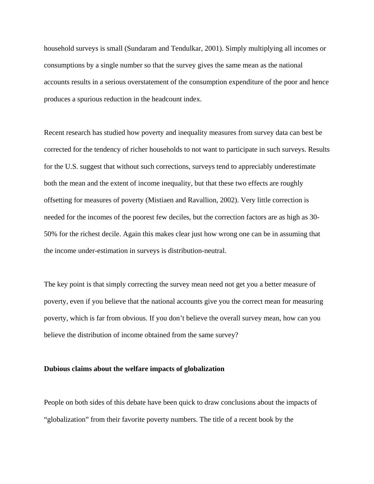household surveys is small (Sundaram and Tendulkar, 2001). Simply multiplying all incomes or consumptions by a single number so that the survey gives the same mean as the national accounts results in a serious overstatement of the consumption expenditure of the poor and hence produces a spurious reduction in the headcount index.

Recent research has studied how poverty and inequality measures from survey data can best be corrected for the tendency of richer households to not want to participate in such surveys. Results for the U.S. suggest that without such corrections, surveys tend to appreciably underestimate both the mean and the extent of income inequality, but that these two effects are roughly offsetting for measures of poverty (Mistiaen and Ravallion, 2002). Very little correction is needed for the incomes of the poorest few deciles, but the correction factors are as high as 30- 50% for the richest decile. Again this makes clear just how wrong one can be in assuming that the income under-estimation in surveys is distribution-neutral.

The key point is that simply correcting the survey mean need not get you a better measure of poverty, even if you believe that the national accounts give you the correct mean for measuring poverty, which is far from obvious. If you don't believe the overall survey mean, how can you believe the distribution of income obtained from the same survey?

#### **Dubious claims about the welfare impacts of globalization**

People on both sides of this debate have been quick to draw conclusions about the impacts of "globalization" from their favorite poverty numbers. The title of a recent book by the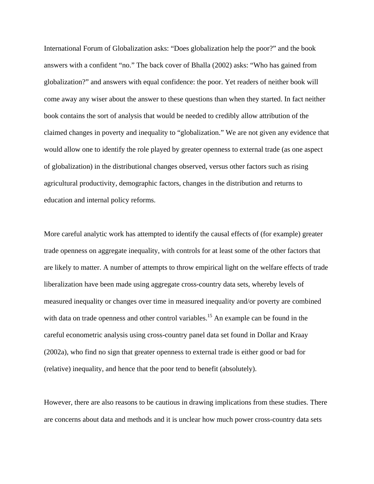International Forum of Globalization asks: "Does globalization help the poor?" and the book answers with a confident "no." The back cover of Bhalla (2002) asks: "Who has gained from globalization?" and answers with equal confidence: the poor. Yet readers of neither book will come away any wiser about the answer to these questions than when they started. In fact neither book contains the sort of analysis that would be needed to credibly allow attribution of the claimed changes in poverty and inequality to "globalization." We are not given any evidence that would allow one to identify the role played by greater openness to external trade (as one aspect of globalization) in the distributional changes observed, versus other factors such as rising agricultural productivity, demographic factors, changes in the distribution and returns to education and internal policy reforms.

More careful analytic work has attempted to identify the causal effects of (for example) greater trade openness on aggregate inequality, with controls for at least some of the other factors that are likely to matter. A number of attempts to throw empirical light on the welfare effects of trade liberalization have been made using aggregate cross-country data sets, whereby levels of measured inequality or changes over time in measured inequality and/or poverty are combined with data on trade openness and other control variables.<sup>15</sup> An example can be found in the careful econometric analysis using cross-country panel data set found in Dollar and Kraay (2002a), who find no sign that greater openness to external trade is either good or bad for (relative) inequality, and hence that the poor tend to benefit (absolutely).

However, there are also reasons to be cautious in drawing implications from these studies. There are concerns about data and methods and it is unclear how much power cross-country data sets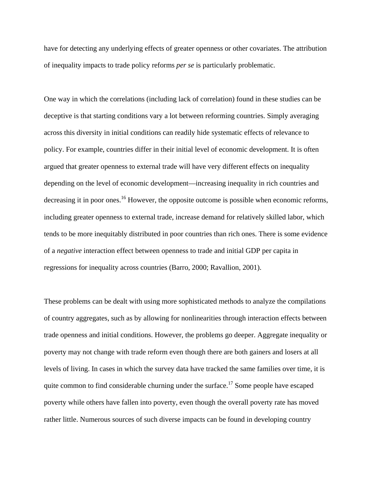have for detecting any underlying effects of greater openness or other covariates. The attribution of inequality impacts to trade policy reforms *per se* is particularly problematic.

One way in which the correlations (including lack of correlation) found in these studies can be deceptive is that starting conditions vary a lot between reforming countries. Simply averaging across this diversity in initial conditions can readily hide systematic effects of relevance to policy. For example, countries differ in their initial level of economic development. It is often argued that greater openness to external trade will have very different effects on inequality depending on the level of economic development—increasing inequality in rich countries and decreasing it in poor ones.<sup>16</sup> However, the opposite outcome is possible when economic reforms, including greater openness to external trade, increase demand for relatively skilled labor, which tends to be more inequitably distributed in poor countries than rich ones. There is some evidence of a *negative* interaction effect between openness to trade and initial GDP per capita in regressions for inequality across countries (Barro, 2000; Ravallion, 2001).

These problems can be dealt with using more sophisticated methods to analyze the compilations of country aggregates, such as by allowing for nonlinearities through interaction effects between trade openness and initial conditions. However, the problems go deeper. Aggregate inequality or poverty may not change with trade reform even though there are both gainers and losers at all levels of living. In cases in which the survey data have tracked the same families over time, it is quite common to find considerable churning under the surface.<sup>17</sup> Some people have escaped poverty while others have fallen into poverty, even though the overall poverty rate has moved rather little. Numerous sources of such diverse impacts can be found in developing country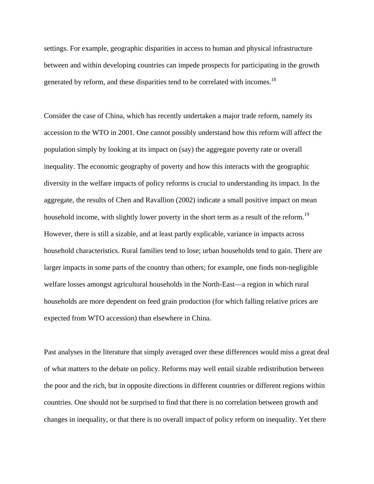settings. For example, geographic disparities in access to human and physical infrastructure between and within developing countries can impede prospects for participating in the growth generated by reform, and these disparities tend to be correlated with incomes.<sup>18</sup>

Consider the case of China, which has recently undertaken a major trade reform, namely its accession to the WTO in 2001. One cannot possibly understand how this reform will affect the population simply by looking at its impact on (say) the aggregate poverty rate or overall inequality. The economic geography of poverty and how this interacts with the geographic diversity in the welfare impacts of policy reforms is crucial to understanding its impact. In the aggregate, the results of Chen and Ravallion (2002) indicate a small positive impact on mean household income, with slightly lower poverty in the short term as a result of the reform.<sup>19</sup> However, there is still a sizable, and at least partly explicable, variance in impacts across household characteristics. Rural families tend to lose; urban households tend to gain. There are larger impacts in some parts of the country than others; for example, one finds non-negligible welfare losses amongst agricultural households in the North-East—a region in which rural households are more dependent on feed grain production (for which falling relative prices are expected from WTO accession) than elsewhere in China.

Past analyses in the literature that simply averaged over these differences would miss a great deal of what matters to the debate on policy. Reforms may well entail sizable redistribution between the poor and the rich, but in opposite directions in different countries or different regions within countries. One should not be surprised to find that there is no correlation between growth and changes in inequality, or that there is no overall impact of policy reform on inequality. Yet there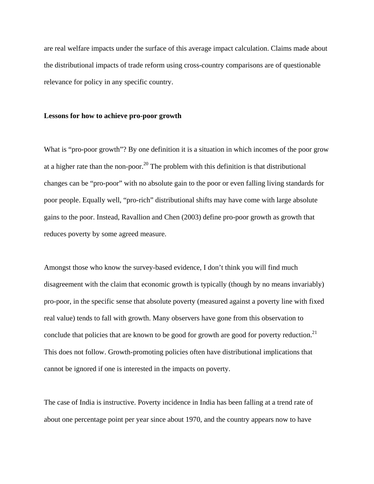are real welfare impacts under the surface of this average impact calculation. Claims made about the distributional impacts of trade reform using cross-country comparisons are of questionable relevance for policy in any specific country.

#### **Lessons for how to achieve pro-poor growth**

What is "pro-poor growth"? By one definition it is a situation in which incomes of the poor grow at a higher rate than the non-poor.<sup>20</sup> The problem with this definition is that distributional changes can be "pro-poor" with no absolute gain to the poor or even falling living standards for poor people. Equally well, "pro-rich" distributional shifts may have come with large absolute gains to the poor. Instead, Ravallion and Chen (2003) define pro-poor growth as growth that reduces poverty by some agreed measure.

Amongst those who know the survey-based evidence, I don't think you will find much disagreement with the claim that economic growth is typically (though by no means invariably) pro-poor, in the specific sense that absolute poverty (measured against a poverty line with fixed real value) tends to fall with growth. Many observers have gone from this observation to conclude that policies that are known to be good for growth are good for poverty reduction.<sup>21</sup> This does not follow. Growth-promoting policies often have distributional implications that cannot be ignored if one is interested in the impacts on poverty.

The case of India is instructive. Poverty incidence in India has been falling at a trend rate of about one percentage point per year since about 1970, and the country appears now to have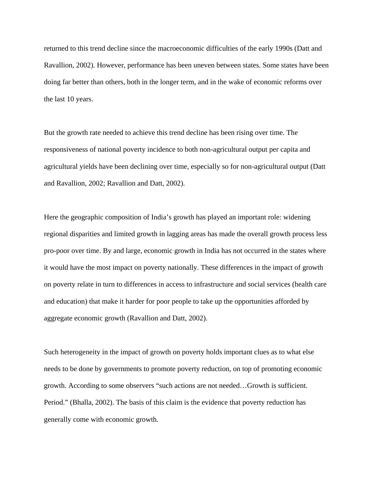returned to this trend decline since the macroeconomic difficulties of the early 1990s (Datt and Ravallion, 2002). However, performance has been uneven between states. Some states have been doing far better than others, both in the longer term, and in the wake of economic reforms over the last 10 years.

But the growth rate needed to achieve this trend decline has been rising over time. The responsiveness of national poverty incidence to both non-agricultural output per capita and agricultural yields have been declining over time, especially so for non-agricultural output (Datt and Ravallion, 2002; Ravallion and Datt, 2002).

Here the geographic composition of India's growth has played an important role: widening regional disparities and limited growth in lagging areas has made the overall growth process less pro-poor over time. By and large, economic growth in India has not occurred in the states where it would have the most impact on poverty nationally. These differences in the impact of growth on poverty relate in turn to differences in access to infrastructure and social services (health care and education) that make it harder for poor people to take up the opportunities afforded by aggregate economic growth (Ravallion and Datt, 2002).

Such heterogeneity in the impact of growth on poverty holds important clues as to what else needs to be done by governments to promote poverty reduction, on top of promoting economic growth. According to some observers "such actions are not needed…Growth is sufficient. Period." (Bhalla, 2002). The basis of this claim is the evidence that poverty reduction has generally come with economic growth.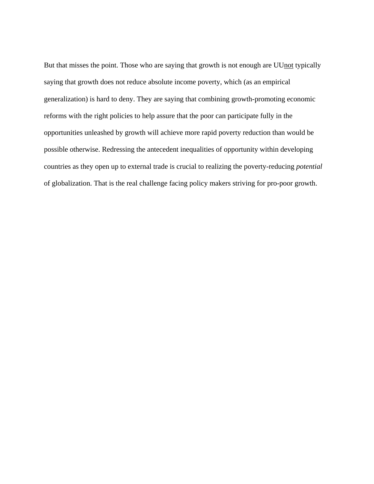But that misses the point. Those who are saying that growth is not enough are UUnot typically saying that growth does not reduce absolute income poverty, which (as an empirical generalization) is hard to deny. They are saying that combining growth-promoting economic reforms with the right policies to help assure that the poor can participate fully in the opportunities unleashed by growth will achieve more rapid poverty reduction than would be possible otherwise. Redressing the antecedent inequalities of opportunity within developing countries as they open up to external trade is crucial to realizing the poverty-reducing *potential* of globalization. That is the real challenge facing policy makers striving for pro-poor growth.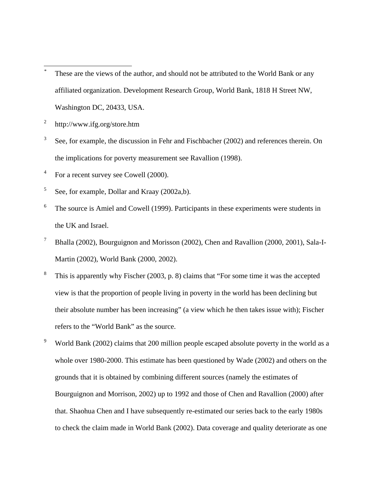- <span id="page-23-0"></span>These are the views of the author, and should not be attributed to the World Bank or any affiliated organization. Development Research Group, World Bank, 1818 H Street NW, Washington DC, 20433, USA.
- 2 http://www.ifg.org/store.htm

 $\overline{a}$ 

- 3 See, for example, the discussion in Fehr and Fischbacher (2002) and references therein. On the implications for poverty measurement see Ravallion (1998).
- 4 For a recent survey see Cowell (2000).
- 5 See, for example, Dollar and Kraay (2002a,b).
- 6 The source is Amiel and Cowell (1999). Participants in these experiments were students in the UK and Israel.
- 7 Bhalla (2002), Bourguignon and Morisson (2002), Chen and Ravallion (2000, 2001), Sala-I-Martin (2002), World Bank (2000, 2002).
- 8 This is apparently why Fischer (2003, p. 8) claims that "For some time it was the accepted view is that the proportion of people living in poverty in the world has been declining but their absolute number has been increasing" (a view which he then takes issue with); Fischer refers to the "World Bank" as the source.
- 9 World Bank (2002) claims that 200 million people escaped absolute poverty in the world as a whole over 1980-2000. This estimate has been questioned by Wade (2002) and others on the grounds that it is obtained by combining different sources (namely the estimates of Bourguignon and Morrison, 2002) up to 1992 and those of Chen and Ravallion (2000) after that. Shaohua Chen and I have subsequently re-estimated our series back to the early 1980s to check the claim made in World Bank (2002). Data coverage and quality deteriorate as one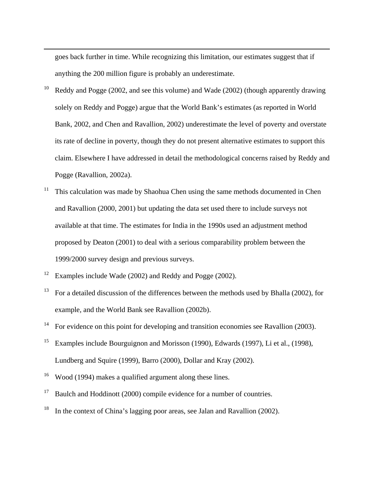goes back further in time. While recognizing this limitation, our estimates suggest that if anything the 200 million figure is probably an underestimate.

- <sup>10</sup> Reddy and Pogge (2002, and see this volume) and Wade (2002) (though apparently drawing solely on Reddy and Pogge) argue that the World Bank's estimates (as reported in World Bank, 2002, and Chen and Ravallion, 2002) underestimate the level of poverty and overstate its rate of decline in poverty, though they do not present alternative estimates to support this claim. Elsewhere I have addressed in detail the methodological concerns raised by Reddy and Pogge (Ravallion, 2002a).
- $11$  This calculation was made by Shaohua Chen using the same methods documented in Chen and Ravallion (2000, 2001) but updating the data set used there to include surveys not available at that time. The estimates for India in the 1990s used an adjustment method proposed by Deaton (2001) to deal with a serious comparability problem between the 1999/2000 survey design and previous surveys.
- $12$  Examples include Wade (2002) and Reddy and Pogge (2002).

 $\overline{a}$ 

- <sup>13</sup> For a detailed discussion of the differences between the methods used by Bhalla (2002), for example, and the World Bank see Ravallion (2002b).
- <sup>14</sup> For evidence on this point for developing and transition economies see Ravallion (2003).
- <sup>15</sup> Examples include Bourguignon and Morisson (1990), Edwards (1997), Li et al., (1998), Lundberg and Squire (1999), Barro (2000), Dollar and Kray (2002).
- <sup>16</sup> Wood (1994) makes a qualified argument along these lines.
- <sup>17</sup> Baulch and Hoddinott (2000) compile evidence for a number of countries.
- <sup>18</sup> In the context of China's lagging poor areas, see Jalan and Ravallion (2002).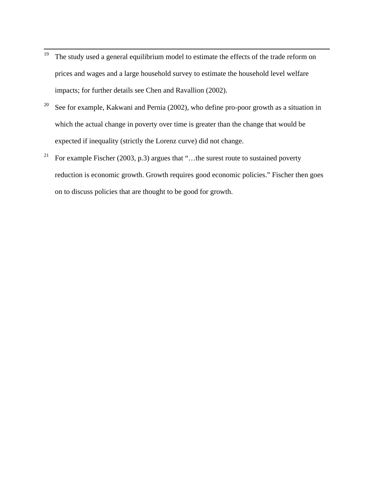- <sup>19</sup> The study used a general equilibrium model to estimate the effects of the trade reform on prices and wages and a large household survey to estimate the household level welfare impacts; for further details see Chen and Ravallion (2002).
- <sup>20</sup> See for example, Kakwani and Pernia (2002), who define pro-poor growth as a situation in which the actual change in poverty over time is greater than the change that would be expected if inequality (strictly the Lorenz curve) did not change.
- <sup>21</sup> For example Fischer (2003, p.3) argues that "...the surest route to sustained poverty reduction is economic growth. Growth requires good economic policies." Fischer then goes on to discuss policies that are thought to be good for growth.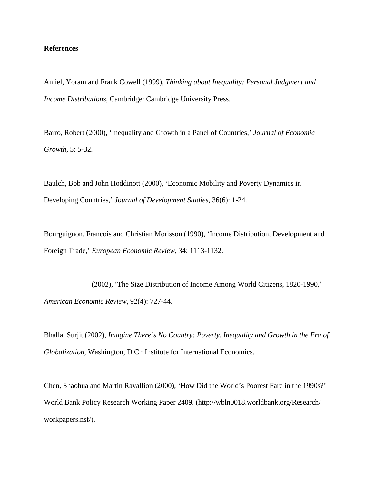### **References**

Amiel, Yoram and Frank Cowell (1999), *Thinking about Inequality: Personal Judgment and Income Distributions*, Cambridge: Cambridge University Press.

Barro, Robert (2000), 'Inequality and Growth in a Panel of Countries,' *Journal of Economic Growth*, 5: 5-32.

Baulch, Bob and John Hoddinott (2000), 'Economic Mobility and Poverty Dynamics in Developing Countries,' *Journal of Development Studies*, 36(6): 1-24.

Bourguignon, Francois and Christian Morisson (1990), 'Income Distribution, Development and Foreign Trade,' *European Economic Review*, 34: 1113-1132.

\_\_\_\_\_\_ \_\_\_\_\_\_ (2002), 'The Size Distribution of Income Among World Citizens, 1820-1990,' *American Economic Review*, 92(4): 727-44.

Bhalla, Surjit (2002), *Imagine There's No Country: Poverty, Inequality and Growth in the Era of Globalization*, Washington, D.C.: Institute for International Economics.

Chen, Shaohua and Martin Ravallion (2000), 'How Did the World's Poorest Fare in the 1990s?' World Bank Policy Research Working Paper 2409. (http://wbln0018.worldbank.org/Research/ workpapers.nsf/).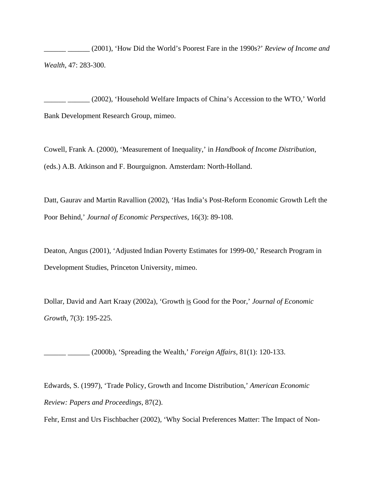\_\_\_\_\_\_ \_\_\_\_\_\_ (2001), 'How Did the World's Poorest Fare in the 1990s?' *Review of Income and Wealth*, 47: 283-300.

\_\_\_\_\_\_ \_\_\_\_\_\_ (2002), 'Household Welfare Impacts of China's Accession to the WTO,' World Bank Development Research Group, mimeo.

Cowell, Frank A. (2000), 'Measurement of Inequality,' in *Handbook of Income Distribution*, (eds.) A.B. Atkinson and F. Bourguignon. Amsterdam: North-Holland.

Datt, Gaurav and Martin Ravallion (2002), 'Has India's Post-Reform Economic Growth Left the Poor Behind,' *Journal of Economic Perspectives*, 16(3): 89-108.

Deaton, Angus (2001), 'Adjusted Indian Poverty Estimates for 1999-00,' Research Program in Development Studies, Princeton University, mimeo.

Dollar, David and Aart Kraay (2002a), 'Growth is Good for the Poor,' *Journal of Economic Growth*, 7(3): 195-225.

\_\_\_\_\_\_ \_\_\_\_\_\_ (2000b), 'Spreading the Wealth,' *Foreign Affairs*, 81(1): 120-133.

Edwards, S. (1997), 'Trade Policy, Growth and Income Distribution,' *American Economic Review: Papers and Proceedings*, 87(2).

Fehr, Ernst and Urs Fischbacher (2002), 'Why Social Preferences Matter: The Impact of Non-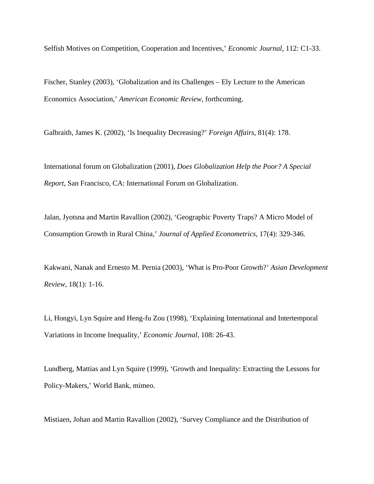Selfish Motives on Competition, Cooperation and Incentives,' *Economic Journal*, 112: C1-33.

Fischer, Stanley (2003), 'Globalization and its Challenges – Ely Lecture to the American Economics Association,' *American Economic Review*, forthcoming.

Galbraith, James K. (2002), 'Is Inequality Decreasing?' *Foreign Affairs*, 81(4): 178.

International forum on Globalization (2001), *Does Globalization Help the Poor? A Special Report*, San Francisco, CA: International Forum on Globalization.

Jalan, Jyotsna and Martin Ravallion (2002), 'Geographic Poverty Traps? A Micro Model of Consumption Growth in Rural China,' *Journal of Applied Econometrics*, 17(4): 329-346*.* 

Kakwani, Nanak and Ernesto M. Pernia (2003), 'What is Pro-Poor Growth?' *Asian Development Review*, 18(1): 1-16.

Li, Hongyi, Lyn Squire and Heng-fu Zou (1998), 'Explaining International and Intertemporal Variations in Income Inequality,' *Economic Journal*, 108: 26-43.

Lundberg, Mattias and Lyn Squire (1999), 'Growth and Inequality: Extracting the Lessons for Policy-Makers,' World Bank, mimeo.

Mistiaen, Johan and Martin Ravallion (2002), 'Survey Compliance and the Distribution of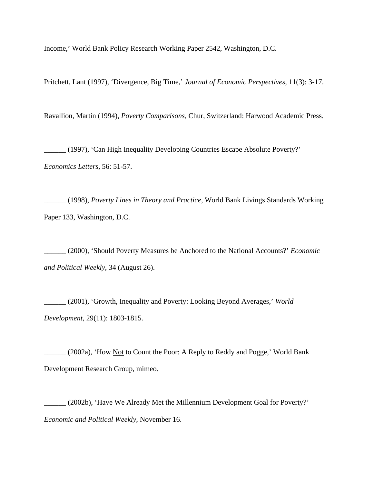Income,' World Bank Policy Research Working Paper 2542, Washington, D.C.

Pritchett, Lant (1997), 'Divergence, Big Time,' *Journal of Economic Perspectives*, 11(3): 3-17.

Ravallion, Martin (1994), *Poverty Comparisons*, Chur, Switzerland: Harwood Academic Press.

\_\_\_\_\_\_ (1997), 'Can High Inequality Developing Countries Escape Absolute Poverty?' *Economics Letters,* 56: 51-57.

\_\_\_\_\_\_ (1998), *Poverty Lines in Theory and Practice*, World Bank Livings Standards Working Paper 133, Washington, D.C.

\_\_\_\_\_\_ (2000), 'Should Poverty Measures be Anchored to the National Accounts?' *Economic and Political Weekly*, 34 (August 26).

\_\_\_\_\_\_ (2001), 'Growth, Inequality and Poverty: Looking Beyond Averages,' *World Development*, 29(11): 1803-1815.

(2002a), 'How Not to Count the Poor: A Reply to Reddy and Pogge,' World Bank Development Research Group, mimeo.

\_\_\_\_\_\_ (2002b), 'Have We Already Met the Millennium Development Goal for Poverty?' *Economic and Political Weekly*, November 16.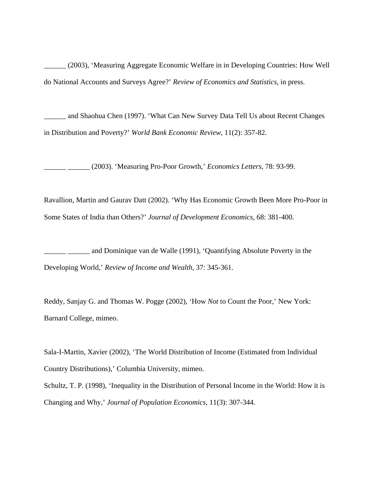\_\_\_\_\_\_ (2003), 'Measuring Aggregate Economic Welfare in in Developing Countries: How Well do National Accounts and Surveys Agree?' *Review of Economics and Statistics*, in press.

\_\_\_\_\_\_ and Shaohua Chen (1997). 'What Can New Survey Data Tell Us about Recent Changes in Distribution and Poverty?' *World Bank Economic Review*, 11(2): 357-82.

\_\_\_\_\_\_ \_\_\_\_\_\_ (2003). 'Measuring Pro-Poor Growth,' *Economics Letters*, 78: 93-99.

Ravallion, Martin and Gaurav Datt (2002). 'Why Has Economic Growth Been More Pro-Poor in Some States of India than Others?' *Journal of Development Economics*, 68: 381-400.

\_\_\_\_\_\_ \_\_\_\_\_\_ and Dominique van de Walle (1991), 'Quantifying Absolute Poverty in the Developing World,' *Review of Income and Wealth*, 37: 345-361.

Reddy, Sanjay G. and Thomas W. Pogge (2002), 'How *Not* to Count the Poor,' New York: Barnard College, mimeo.

Sala-I-Martin, Xavier (2002), 'The World Distribution of Income (Estimated from Individual Country Distributions),' Columbia University, mimeo.

Schultz, T. P. (1998), 'Inequality in the Distribution of Personal Income in the World: How it is Changing and Why,' *Journal of Population Economics*, 11(3): 307-344.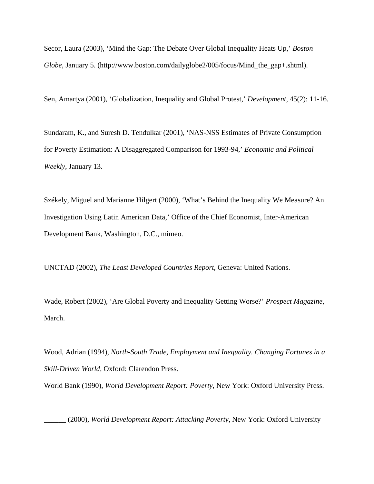Secor, Laura (2003), 'Mind the Gap: The Debate Over Global Inequality Heats Up,' *Boston Globe*, January 5. (http://www.boston.com/dailyglobe2/005/focus/Mind\_the\_gap+.shtml).

Sen, Amartya (2001), 'Globalization, Inequality and Global Protest,' *Development*, 45(2): 11-16.

Sundaram, K., and Suresh D. Tendulkar (2001), 'NAS-NSS Estimates of Private Consumption for Poverty Estimation: A Disaggregated Comparison for 1993-94,' *Economic and Political Weekly*, January 13.

Székely, Miguel and Marianne Hilgert (2000), 'What's Behind the Inequality We Measure? An Investigation Using Latin American Data,' Office of the Chief Economist, Inter-American Development Bank, Washington, D.C., mimeo.

UNCTAD (2002), *The Least Developed Countries Report*, Geneva: United Nations.

Wade, Robert (2002), 'Are Global Poverty and Inequality Getting Worse?' *Prospect Magazine*, March.

Wood, Adrian (1994), *North-South Trade, Employment and Inequality. Changing Fortunes in a Skill-Driven World,* Oxford: Clarendon Press.

World Bank (1990), *World Development Report: Poverty*, New York: Oxford University Press.

\_\_\_\_\_\_ (2000), *World Development Report: Attacking Poverty*, New York: Oxford University